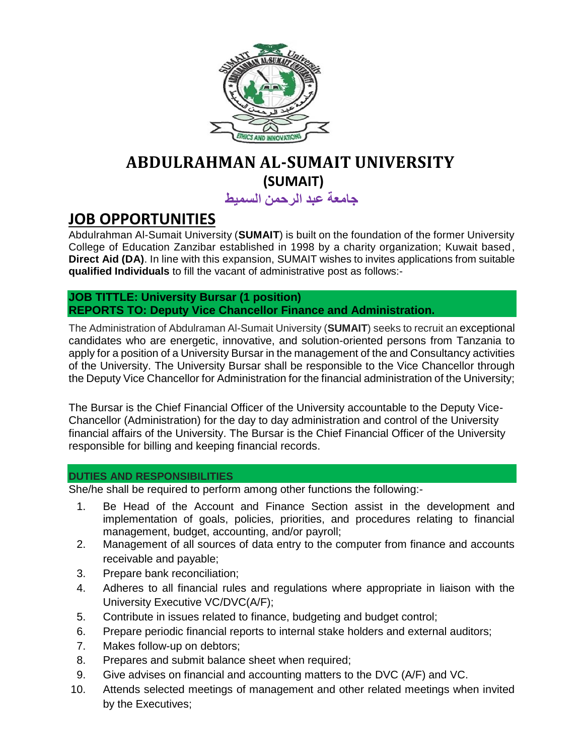

# **ABDULRAHMAN AL-SUMAIT UNIVERSITY (SUMAIT)**

**جامعة عبد الرحمن السميط**

## **JOB OPPORTUNITIES**

Abdulrahman Al-Sumait University (**SUMAIT**) is built on the foundation of the former University College of Education Zanzibar established in 1998 by a charity organization; Kuwait based, **Direct Aid (DA)**. In line with this expansion, SUMAIT wishes to invites applications from suitable **qualified Individuals** to fill the vacant of administrative post as follows:-

**JOB TITTLE: University Bursar (1 position) REPORTS TO: Deputy Vice Chancellor Finance and Administration.**

The Administration of Abdulraman Al-Sumait University (**SUMAIT**) seeks to recruit an exceptional candidates who are energetic, innovative, and solution-oriented persons from Tanzania to apply for a position of a University Bursar in the management of the and Consultancy activities of the University. The University Bursar shall be responsible to the Vice Chancellor through the Deputy Vice Chancellor for Administration for the financial administration of the University;

The Bursar is the Chief Financial Officer of the University accountable to the Deputy Vice-Chancellor (Administration) for the day to day administration and control of the University financial affairs of the University. The Bursar is the Chief Financial Officer of the University responsible for billing and keeping financial records.

#### **DUTIES AND RESPONSIBILITIES**

She/he shall be required to perform among other functions the following:-

- 1. Be Head of the Account and Finance Section assist in the development and implementation of goals, policies, priorities, and procedures relating to financial management, budget, accounting, and/or payroll;
- 2. Management of all sources of data entry to the computer from finance and accounts receivable and payable;
- 3. Prepare bank reconciliation;
- 4. Adheres to all financial rules and regulations where appropriate in liaison with the University Executive VC/DVC(A/F);
- 5. Contribute in issues related to finance, budgeting and budget control;
- 6. Prepare periodic financial reports to internal stake holders and external auditors;
- 7. Makes follow-up on debtors;
- 8. Prepares and submit balance sheet when required;
- 9. Give advises on financial and accounting matters to the DVC (A/F) and VC.
- 10. Attends selected meetings of management and other related meetings when invited by the Executives;